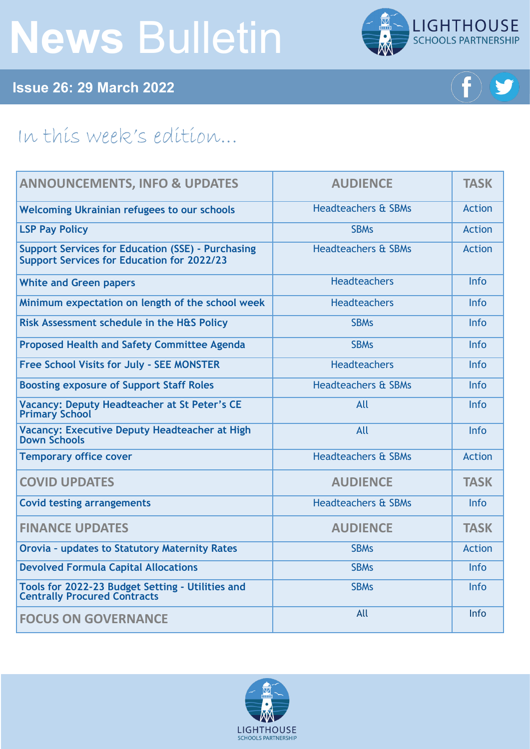# **News** Bulletin



**Issue 26: 29 March 2022**



## In this week's edition...

| <b>ANNOUNCEMENTS, INFO &amp; UPDATES</b>                                                                      | <b>AUDIENCE</b>                | <b>TASK</b>   |
|---------------------------------------------------------------------------------------------------------------|--------------------------------|---------------|
| <b>Welcoming Ukrainian refugees to our schools</b>                                                            | <b>Headteachers &amp; SBMs</b> | <b>Action</b> |
| <b>LSP Pay Policy</b>                                                                                         | <b>SBMs</b>                    | <b>Action</b> |
| <b>Support Services for Education (SSE) - Purchasing</b><br><b>Support Services for Education for 2022/23</b> | <b>Headteachers &amp; SBMs</b> | <b>Action</b> |
| <b>White and Green papers</b>                                                                                 | <b>Headteachers</b>            | <b>Info</b>   |
| Minimum expectation on length of the school week                                                              | <b>Headteachers</b>            | <b>Info</b>   |
| Risk Assessment schedule in the H&S Policy                                                                    | <b>SBMs</b>                    | Info          |
| <b>Proposed Health and Safety Committee Agenda</b>                                                            | <b>SBMs</b>                    | <b>Info</b>   |
| <b>Free School Visits for July - SEE MONSTER</b>                                                              | <b>Headteachers</b>            | <b>Info</b>   |
| <b>Boosting exposure of Support Staff Roles</b>                                                               | <b>Headteachers &amp; SBMs</b> | <b>Info</b>   |
| Vacancy: Deputy Headteacher at St Peter's CE<br><b>Primary School</b>                                         | All                            | <b>Info</b>   |
| Vacancy: Executive Deputy Headteacher at High<br><b>Down Schools</b>                                          | All                            | Info          |
| <b>Temporary office cover</b>                                                                                 | <b>Headteachers &amp; SBMs</b> | <b>Action</b> |
| <b>COVID UPDATES</b>                                                                                          | <b>AUDIENCE</b>                | <b>TASK</b>   |
| <b>Covid testing arrangements</b>                                                                             | <b>Headteachers &amp; SBMs</b> | Info          |
| <b>FINANCE UPDATES</b>                                                                                        | <b>AUDIENCE</b>                | <b>TASK</b>   |
| <b>Orovia - updates to Statutory Maternity Rates</b>                                                          | <b>SBMs</b>                    | <b>Action</b> |
| <b>Devolved Formula Capital Allocations</b>                                                                   | <b>SBMs</b>                    | <b>Info</b>   |
| Tools for 2022-23 Budget Setting - Utilities and<br><b>Centrally Procured Contracts</b>                       | <b>SBMs</b>                    | <b>Info</b>   |
| <b>FOCUS ON GOVERNANCE</b>                                                                                    | All                            | Info          |

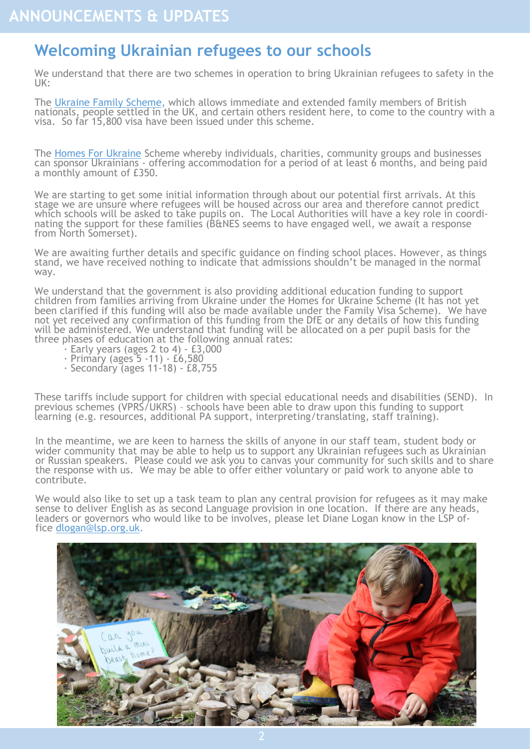#### <span id="page-1-0"></span>**Welcoming Ukrainian refugees to our schools**

We understand that there are two schemes in operation to bring Ukrainian refugees to safety in the UK:

The [Ukraine Family Scheme,](https://assets.publishing.service.gov.uk/government/uploads/system/uploads/attachment_data/file/1062002/Factsheet_immigration_information_for_Ukrainians_in_the_UK__British_nationals_and_their_family_members__English_.pdf) which allows immediate and extended family members of British nationals, people settled in the UK, and certain others resident here, to come to the country with a visa. So far 15,800 visa have been issued under this scheme.

The [Homes For Ukraine](https://www.gov.uk/register-interest-homes-ukraine) Scheme whereby individuals, charities, community groups and businesses can sponsor Ukrainians - offering accommodation for a period of at least 6 months, and being paid a monthly amount of £350.

We are starting to get some initial information through about our potential first arrivals. At this stage we are unsure where refugees will be housed across our area and therefore cannot predict which schools will be asked to take pupils on. The Local Authorities will have a key role in coordinating the support for these families (B&NES seems to have engaged well, we await a response from North Somerset).

We are awaiting further details and specific guidance on finding school places. However, as things stand, we have received nothing to indicate that admissions shouldn't be managed in the normal way.

We understand that the government is also providing additional education funding to support children from families arriving from Ukraine under the Homes for Ukraine Scheme (It has not yet been clarified if this funding will also be made available under the Family Visa Scheme). We have not yet received any confirmation of this funding from the DfE or any details of how this funding will be administered. We understand that funding will be allocated on a per pupil basis for the three phases of education at the following annual rates:

- · Early years (ages 2 to 4) £3,000
- · Primary (ages 5 -11) £6,580
- · Secondary (ages 11-18) £8,755

These tariffs include support for children with special educational needs and disabilities (SEND). In previous schemes (VPRS/UKRS) – schools have been able to draw upon this funding to support learning (e.g. resources, additional PA support, interpreting/translating, staff training).

In the meantime, we are keen to harness the skills of anyone in our staff team, student body or wider community that may be able to help us to support any Ukrainian refugees such as Ukrainian or Russian speakers. Please could we ask you to canvas your community for such skills and to share the response with us. We may be able to offer either voluntary or paid work to anyone able to contribute.

We would also like to set up a task team to plan any central provision for refugees as it may make sense to deliver English as as second Language provision in one location. If there are any heads, leaders or governors who would like to be involves, please let Diane Logan know in the LSP office [dlogan@lsp.org.uk.](mailto:dlogan@lsp.org.uk)

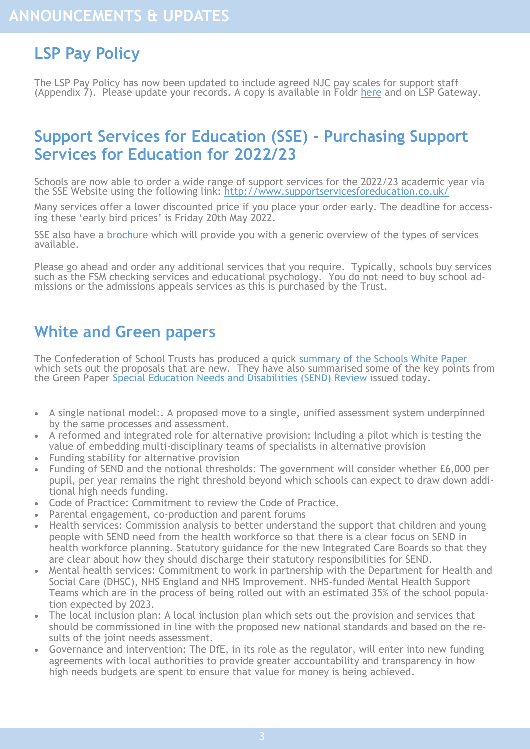## <span id="page-2-0"></span>**LSP Pay Policy**

The LSP Pay Policy has now been updated to include agreed NJC pay scales for support staff (Appendix 7). Please update your records. A copy is available in Foldr [here](https://foldr.lsp.org.uk/public/N4ZRP) and on LSP Gateway.

#### **Support Services for Education (SSE) - Purchasing Support Services for Education for 2022/23**

Schools are now able to order a wide range of support services for the 2022/23 academic year via the SSE Website using the following link: http://www.supportservicesforeducation.co.uk/

Many services offer a lower discounted price if you place your order early. The deadline for accessing these 'early bird prices' is Friday 20th May 2022.

SSE also have a [brochure](https://issuu.com/ssesomerset/docs/sse_e-booklet?fr=sNTY1ZTQ3MDMyNzQ) which will provide you with a generic overview of the types of services available.

Please go ahead and order any additional services that you require. Typically, schools buy services such as the FSM checking services and educational psychology. You do not need to buy school admissions or the admissions appeals services as this is purchased by the Trust.

#### **White and Green papers**

The Confederation of School Trusts has produced a quick [summary of the Schools White Paper](https://foldr.lsp.org.uk/public/P11EP) which sets out the proposals that are new. They have also summarised some of the key points from the Green Paper [Special Education Needs and Disabilities \(SEND\) Review](https://www.gov.uk/government/consultations/send-review-right-support-right-place-right-time?utm_medium=email&utm_campaign=govuk-notifications-topic&utm_source=f6c4f760-cd62-4831-94d6-f24635406d6b&utm_content=immediately) issued today.

- A single national model:. A proposed move to a single, unified assessment system underpinned by the same processes and assessment.
- A reformed and integrated role for alternative provision: Including a pilot which is testing the value of embedding multi-disciplinary teams of specialists in alternative provision
- Funding stability for alternative provision
- Funding of SEND and the notional thresholds: The government will consider whether £6,000 per pupil, per year remains the right threshold beyond which schools can expect to draw down additional high needs funding.
- Code of Practice: Commitment to review the Code of Practice.
- Parental engagement, co-production and parent forums
- Health services: Commission analysis to better understand the support that children and young people with SEND need from the health workforce so that there is a clear focus on SEND in health workforce planning. Statutory guidance for the new Integrated Care Boards so that they are clear about how they should discharge their statutory responsibilities for SEND.
- Mental health services: Commitment to work in partnership with the Department for Health and Social Care (DHSC), NHS England and NHS Improvement. NHS-funded Mental Health Support Teams which are in the process of being rolled out with an estimated 35% of the school population expected by 2023.
- The local inclusion plan: A local inclusion plan which sets out the provision and services that should be commissioned in line with the proposed new national standards and based on the results of the joint needs assessment.
- Governance and intervention: The DfE, in its role as the regulator, will enter into new funding agreements with local authorities to provide greater accountability and transparency in how high needs budgets are spent to ensure that value for money is being achieved.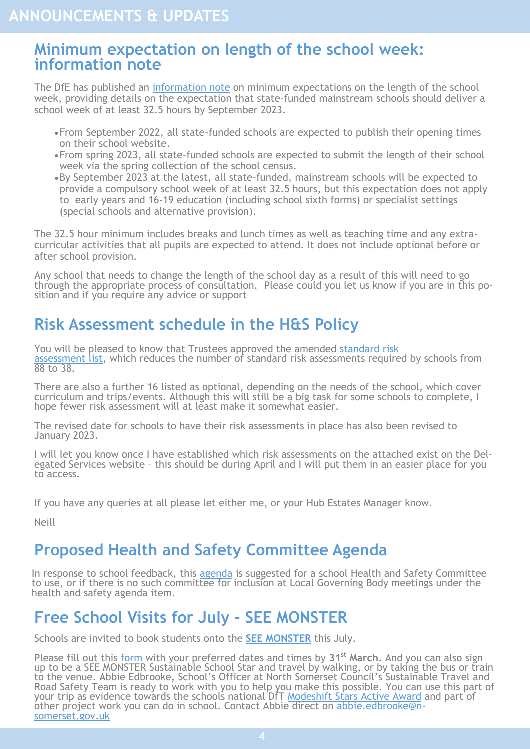#### <span id="page-3-0"></span>**Minimum expectation on length of the school week: information note**

The DfE has published an [information note](https://assets.publishing.service.gov.uk/government/uploads/system/uploads/attachment_data/file/1063520/Minimum_expectation_for_length_of_school_week_-__information_note.pdf) on minimum expectations on the length of the school week, providing details on the expectation that state-funded mainstream schools should deliver a school week of at least 32.5 hours by September 2023.

- •From September 2022, all state-funded schools are expected to publish their opening times on their school website.
- •From spring 2023, all state-funded schools are expected to submit the length of their school week via the spring collection of the school census.
- •By September 2023 at the latest, all state-funded, mainstream schools will be expected to provide a compulsory school week of at least 32.5 hours, but this expectation does not apply to early years and 16-19 education (including school sixth forms) or specialist settings (special schools and alternative provision).

The 32.5 hour minimum includes breaks and lunch times as well as teaching time and any extracurricular activities that all pupils are expected to attend. It does not include optional before or after school provision.

Any school that needs to change the length of the school day as a result of this will need to go through the appropriate process of consultation. Please could you let us know if you are in this position and if you require any advice or support

#### **Risk Assessment schedule in the H&S Policy**

You will be pleased to know that Trustees approved the amended [standard risk](https://foldr.lsp.org.uk/public/P850P)  [assessment list,](https://foldr.lsp.org.uk/public/P850P) which reduces the number of standard risk assessments required by schools from 88 to 38.

There are also a further 16 listed as optional, depending on the needs of the school, which cover curriculum and trips/events. Although this will still be a big task for some schools to complete, I hope fewer risk assessment will at least make it somewhat easier.

The revised date for schools to have their risk assessments in place has also been revised to January 2023.

I will let you know once I have established which risk assessments on the attached exist on the Delegated Services website - this should be during April and I will put them in an easier place for you to access.

If you have any queries at all please let either me, or your Hub Estates Manager know.

Neill

#### **Proposed Health and Safety Committee Agenda**

In response to school feedback, this [agenda](https://foldr.lsp.org.uk/public/WZQ9W) is suggested for a school Health and Safety Committee to use, or if there is no such committee for inclusion at Local Governing Body meetings under the health and safety agenda item.

### **Free School Visits for July - SEE MONSTER**

Schools are invited to book students onto the **[SEE MONSTER](https://seemonster.co.uk/)** this July.

Please fill out this [form](https://docs.google.com/forms/d/e/1FAIpQLSdGUSb-B_2eSNd4njeLrMc0pyCrIPRz3xcJnFqwSWmcHc9-9w/viewform) with your preferred dates and times by **31st March**. And you can also sign up to be a SEE MONSTER Sustainable School Star and travel by walking, or by taking the bus or train to the venue. Abbie Edbrooke, School's Officer at North Somerset Council's Sustainable Travel and Road Safety Team is ready to work with you to help you make this possible. You can use this part of your trip as evidence towards the schools national DfT <u>[Modeshift Stars Active Award](https://www.modeshiftstars.org/education/)</u> and part of other project work you can do in school. Contact Abbie direct on [abbie.edbrooke@n](mailto:abbie.edbrooke@n-somerset.gov.uk)[somerset.gov.uk](mailto:abbie.edbrooke@n-somerset.gov.uk)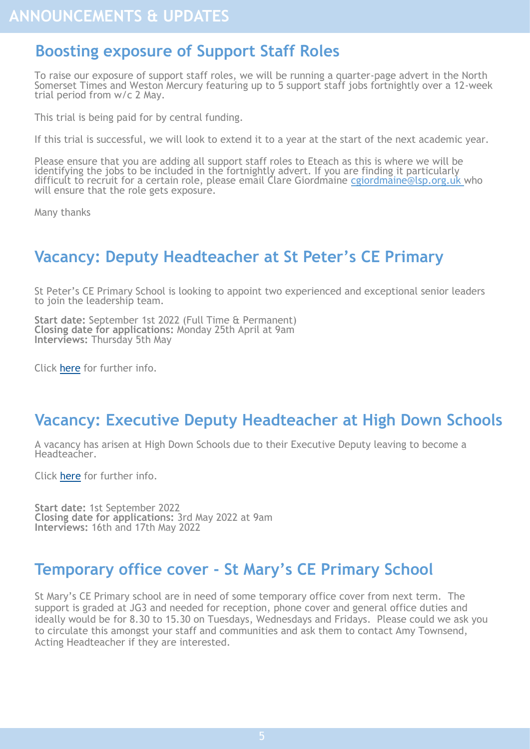#### <span id="page-4-0"></span>**Boosting exposure of Support Staff Roles**

To raise our exposure of support staff roles, we will be running a quarter-page advert in the North Somerset Times and Weston Mercury featuring up to 5 support staff jobs fortnightly over a 12-week trial period from w/c 2 May.

This trial is being paid for by central funding.

If this trial is successful, we will look to extend it to a year at the start of the next academic year.

Please ensure that you are adding all support staff roles to Eteach as this is where we will be identifying the jobs to be included in the fortnightly advert. If you are finding it particularly difficult to recruit for a certain role, please email Clare Giordmaine cgiordmaine@lsp.org.uk who will ensure that the role gets exposure.

Many thanks

#### **Vacancy: Deputy Headteacher at St Peter's CE Primary**

St Peter's CE Primary School is looking to appoint two experienced and exceptional senior leaders to join the leadership team.

**Start date:** September 1st 2022 (Full Time & Permanent) **Closing date for applications:** Monday 25th April at 9am **Interviews:** Thursday 5th May

Click [here](https://www.eteach.com/job/deputy-headteacher-1224445?lang=en-GB&frmsrh=Y) for further info.

#### **Vacancy: Executive Deputy Headteacher at High Down Schools**

A vacancy has arisen at High Down Schools due to their Executive Deputy leaving to become a Headteacher.

Click [here](https://www.eteach.com/job/executive-deputy-headteacher-1224204) for further info.

**Start date:** 1st September 2022 **Closing date for applications:** 3rd May 2022 at 9am **Interviews:** 16th and 17th May 2022

#### **Temporary office cover - St Mary's CE Primary School**

St Mary's CE Primary school are in need of some temporary office cover from next term. The support is graded at JG3 and needed for reception, phone cover and general office duties and ideally would be for 8.30 to 15.30 on Tuesdays, Wednesdays and Fridays. Please could we ask you to circulate this amongst your staff and communities and ask them to contact Amy Townsend, Acting Headteacher if they are interested.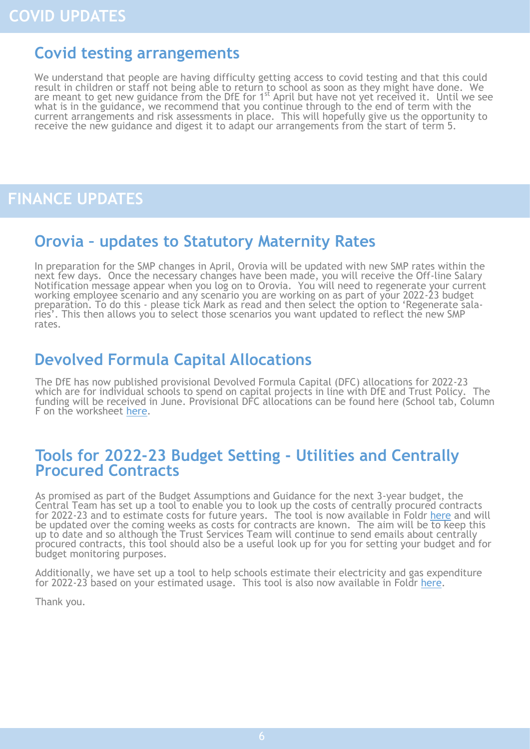#### <span id="page-5-0"></span>**Covid testing arrangements**

We understand that people are having difficulty getting access to covid testing and that this could result in children or staff not being able to return to school as soon as they might have done. We are meant to get new guidance from the DfE for 1<sup>st</sup> April but have not yet received it. Until we see what is in the guidance, we recommend that you continue through to the end of term with the current arrangements and risk assessments in place. This will hopefully give us the opportunity to receive the new guidance and digest it to adapt our arrangements from the start of term 5.

#### **FINANCE UPDATES**

#### **Orovia – updates to Statutory Maternity Rates**

In preparation for the SMP changes in April, Orovia will be updated with new SMP rates within the next few days. Once the necessary changes have been made, you will receive the Off-line Salary Notification message appear when you log on to Orovia. You will need to regenerate your current working employee scenario and any scenario you are working on as part of your 2022-23 budget preparation. To do this - please tick Mark as read and then select the option to 'Regenerate salaries'. This then allows you to select those scenarios you want updated to reflect the new SMP rates.

#### **Devolved Formula Capital Allocations**

The DfE has now published provisional Devolved Formula Capital (DFC) allocations for 2022-23 which are for individual schools to spend on capital projects in line with DfE and Trust Policy. The funding will be received in June. Provisional DFC allocations can be found here (School tab, Column F on the worksheet [here.](https://view.officeapps.live.com/op/view.aspx?src=https%3A%2F%2Fassets.publishing.service.gov.uk%2Fgovernment%2Fuploads%2Fsystem%2Fuploads%2Fattachment_data%2Ffile%2F1063630%2Fschool_capital_funding_allocations_for_2022_to_2023.xlsx&wdOrigin=BROWSELINK)

#### **Tools for 2022-23 Budget Setting - Utilities and Centrally Procured Contracts**

As promised as part of the Budget Assumptions and Guidance for the next 3-year budget, the Central Team has set up a tool to enable you to look up the costs of centrally procured contracts for 2022-23 and to estimate costs for future years. The tool is now available in Foldr [here](https://foldr.lsp.org.uk/public/NOJQW) and will be updated over the coming weeks as costs for contracts are known. The aim will be to keep this up to date and so although the Trust Services Team will continue to send emails about centrally procured contracts, this tool should also be a useful look up for you for setting your budget and for budget monitoring purposes.

Additionally, we have set up a tool to help schools estimate their electricity and gas expenditure for 2022-23 based on your estimated usage. This tool is also now available in Foldr [here.](https://foldr.lsp.org.uk/public/NQE3N)

Thank you.